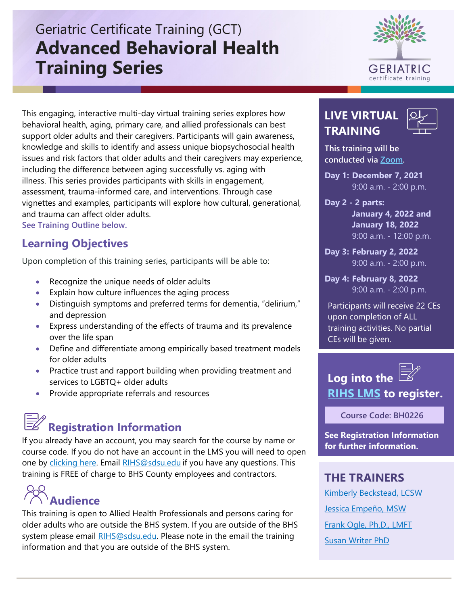# Geriatric Certificate Training (GCT) **Advanced Behavioral Health Training Series**



**LIVE VIRTUAL TRAINING** 



**This training will be conducted via [Zoom.](https://zoom.us/download)**

**Day 1: December 7, 2021**  9:00 a.m. - 2:00 p.m.

**Day 2 - 2 parts: January 4, 2022 and January 18, 2022**  9:00 a.m. - 12:00 p.m.

**Day 3: February 2, 2022**  9:00 a.m. - 2:00 p.m.

**Day 4: February 8, 2022**  9:00 a.m. - 2:00 p.m.

Participants will receive 22 CEs upon completion of ALL training activities. No partial CEs will be given.

## **Log into the [RIHS LMS](https://academy.sumtotal.host/) to register.**

 **Course Code: BH0226**

**See Registration Information for further information.** 

### **THE TRAINERS**

[Kimberly Beckstead, LCSW](https://theacademy.sdsu.edu/rihsbios/kimberly-beckstead-lcsw-adcii/)  [Jessica Empeño, MSW](https://theacademy.sdsu.edu/rihsbios/jessica-empeno-msw/)  [Frank Ogle, Ph.D., LMFT](https://theacademy.sdsu.edu/rihsbios/dr-frank-ogle-ph-d-lmft/)  [Susan Writer PhD](https://theacademy.sdsu.edu/rihsbios/susan-writer/) 

#### This engaging, interactive multi-day virtual training series explores how behavioral health, aging, primary care, and allied professionals can best support older adults and their caregivers. Participants will gain awareness, knowledge and skills to identify and assess unique biopsychosocial health issues and risk factors that older adults and their caregivers may experience, including the difference between aging successfully vs. aging with illness. This series provides participants with skills in engagement, assessment, trauma-informed care, and interventions. Through case vignettes and examples, participants will explore how cultural, generational, and trauma can affect older adults. **See Training Outline below.**

**Learning Objectives**

Upon completion of this training series, participants will be able to:

- Recognize the unique needs of older adults
- Explain how culture influences the aging process
- Distinguish symptoms and preferred terms for dementia, "delirium," and depression
- Express understanding of the effects of trauma and its prevalence over the life span
- Define and differentiate among empirically based treatment models for older adults
- Practice trust and rapport building when providing treatment and services to LGBTQ+ older adults
- Provide appropriate referrals and resources

# **Registration Information**

If you already have an account, you may search for the course by name or course code. If you do not have an account in the LMS you will need to open one by [clicking here.](https://sdsumbrs.az1.qualtrics.com/jfe/form/SV_0c75lYpeur5l9rv) Email [RIHS@sdsu.edu](mailto:RIHS@sdsu.edu?subject=Create%20Account) if you have any questions. This training is FREE of charge to BHS County employees and contractors.

# **Audience**

This training is open to Allied Health Professionals and persons caring for older adults who are outside the BHS system. If you are outside of the BHS system please email [RIHS@sdsu.edu.](mailto:RIHS@sdsu.edu?subject=Create%20Account) Please note in the email the training information and that you are outside of the BHS system.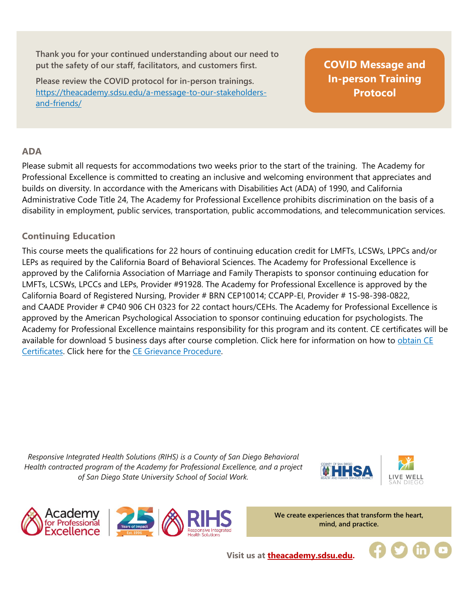**Thank you for your continued understanding about our need to put the safety of our staff, facilitators, and customers first.**

**Please review the COVID protocol for in-person trainings.**  [https://theacademy.sdsu.edu/a-message-to-our-stakeholders](https://theacademy.sdsu.edu/a-message-to-our-stakeholders-and-friends/)[and-friends/](https://theacademy.sdsu.edu/a-message-to-our-stakeholders-and-friends/)

**[COVID Message and](https://theacademy.sdsu.edu/a-message-to-our-stakeholders-and-friends/)  In-person Training Protocol**

#### **ADA**

Please submit all requests for accommodations two weeks prior to the start of the training. The Academy for Professional Excellence is committed to creating an inclusive and welcoming environment that appreciates and builds on diversity. In accordance with the Americans with Disabilities Act (ADA) of 1990, and California Administrative Code Title 24, The Academy for Professional Excellence prohibits discrimination on the basis of a disability in employment, public services, transportation, public accommodations, and telecommunication services.

#### **Continuing Education**

This course meets the qualifications for 22 hours of continuing education credit for LMFTs, LCSWs, LPPCs and/or LEPs as required by the California Board of Behavioral Sciences. The Academy for Professional Excellence is approved by the California Association of Marriage and Family Therapists to sponsor continuing education for LMFTs, LCSWs, LPCCs and LEPs, Provider #91928. The Academy for Professional Excellence is approved by the California Board of Registered Nursing, Provider # BRN CEP10014; CCAPP-EI, Provider # 1S-98-398-0822, and CAADE Provider # CP40 906 CH 0323 for 22 contact hours/CEHs. The Academy for Professional Excellence is approved by the American Psychological Association to sponsor continuing education for psychologists. The Academy for Professional Excellence maintains responsibility for this program and its content. CE certificates will be available for download 5 business days after course completion. Click here for information on how to obtain CE [Certificates.](https://theacademy.sdsu.edu/programs/rihs/rihs-faq/) Click here for the [CE Grievance Procedure.](https://drive.google.com/file/d/10H4zN0gLatK2hP5SJpe0HTZkZpYm8GRj/view) 

*Responsive Integrated Health Solutions (RIHS) is a County of San Diego Behavioral Health contracted program of the Academy for Professional Excellence, and a project of San Diego State University School of Social Work.*







**We create experiences that transform the heart, mind, and practice.**

**Visit us at [theacademy.sdsu.edu.](https://theacademy.sdsu.edu/)**